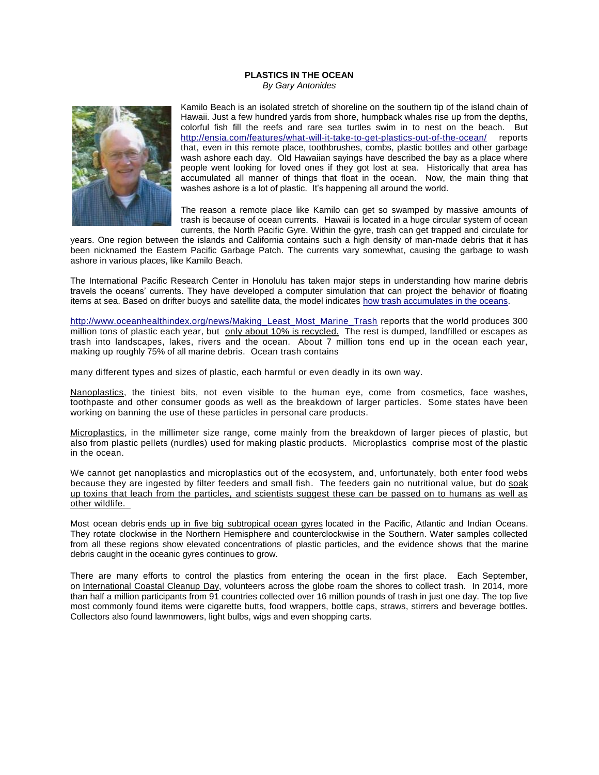## **PLASTICS IN THE OCEAN** *By Gary Antonides*



Kamilo Beach is an isolated stretch of shoreline on the southern tip of the island chain of Hawaii. Just a few hundred yards from shore, humpback whales rise up from the depths, colorful fish fill the reefs and rare sea turtles swim in to nest on the beach. But <http://ensia.com/features/what-will-it-take-to-get-plastics-out-of-the-ocean/> reports that, even in this remote place, toothbrushes, combs, plastic bottles and other garbage wash ashore each day. Old Hawaiian sayings have described the bay as a place where people went looking for loved ones if they got lost at sea. Historically that area has accumulated all manner of things that float in the ocean. Now, the main thing that washes ashore is a lot of plastic. It's happening all around the world.

The reason a remote place like Kamilo can get so swamped by massive amounts of trash is because of ocean currents. Hawaii is located in a huge circular system of ocean currents, the North Pacific Gyre. Within the gyre, trash can get trapped and circulate for

years. One region between the islands and California contains such a high density of man-made debris that it has been nicknamed the Eastern Pacific Garbage Patch. The currents vary somewhat, causing the garbage to wash ashore in various places, like Kamilo Beach.

The International Pacific Research Center in Honolulu has taken major steps in understanding how marine debris travels the oceans' currents. They have developed a computer simulation that can project the behavior of floating items at sea. Based on drifter buoys and satellite data, the model indicates [how trash accumulates in the oceans.](https://vimeo.com/8350606)

[http://www.oceanhealthindex.org/news/Making\\_Least\\_Most\\_Marine\\_Trash](http://www.oceanhealthindex.org/news/Making_Least_Most_Marine_Trash) reports that the world produces 300 million tons of plastic each year, but [only about 10% is recycled.](http://www.nytimes.com/2011/08/15/business/energy-environment/raising-awareness-of-plastic-waste.html?_r=0) The rest is dumped, landfilled or escapes as trash into landscapes, lakes, rivers and the ocean. About 7 million tons end up in the ocean each year, making up [r](http://www.npr.org/2014/06/17/322959714/plastics-dont-disappear-but-they-do-end-up-in-sea-birds-bellies)oughly 75% of all marine debris. Ocean trash contains

many different types and sizes of plastic, each harmful or even deadly in its own way.

Nanoplastics, the tiniest bits, not even visible to the human eye, come from cosmetics, face washes, toothpaste and other consumer goods as well as the breakdown of larger particles. Some states have been working on banning the use of these particles in personal care products.

[Microplastics,](http://www.oceanhealthindex.org/News/Microplastics) in the millimeter size range, come mainly from the breakdown of larger pieces of plastic, but also from plastic pellets (nurdles) used for making plastic products. Microplastics comprise most of the plastic in the ocean.

We cannot get nanoplastics and microplastics out of the ecosystem, and, unfortunately, both enter food webs because they are ingested by filter feeders and small fish. The feeders gain no nutritional value, but do [soak](http://www.npr.org/2014/05/21/313157701/why-those-tiny-microbeads-in-soap-may-pose-problem-for-great-lakes)  up toxins that leach from the particles, and [scientists suggest these can be passed on to humans as well as](http://www.npr.org/2014/05/21/313157701/why-those-tiny-microbeads-in-soap-may-pose-problem-for-great-lakes)  [other wildlife.](http://www.npr.org/2014/05/21/313157701/why-those-tiny-microbeads-in-soap-may-pose-problem-for-great-lakes) 

Most ocean debris [ends up in five big subtropical ocean gyres](https://www.youtube.com/watch?v=_gm2EjYbUXk) located in the Pacific, Atlantic and Indian Oceans. They rotate clockwise in the Northern Hemisphere and counterclockwise in the Southern. Water samples collected from all these regions show elevated concentrations of plastic particles, and the evidence shows that the marine debris caught in the oceanic gyres continues to grow.

There are many efforts to control the plastics from entering the ocean in the first place. Each September, on [International Coastal Cleanup Day,](http://www.oceanconservancy.org/our-work/international-coastal-cleanup/) volunteers across the globe roam the shores to collect trash. In 2014, more than half a million participants from 91 countries collected over 16 million pounds of trash in just one day. The top five most commonly found items were cigarette butts, food wrappers, bottle caps, straws, stirrers and beverage bottles. Collectors also found lawnmowers, light bulbs, wigs and even shopping carts.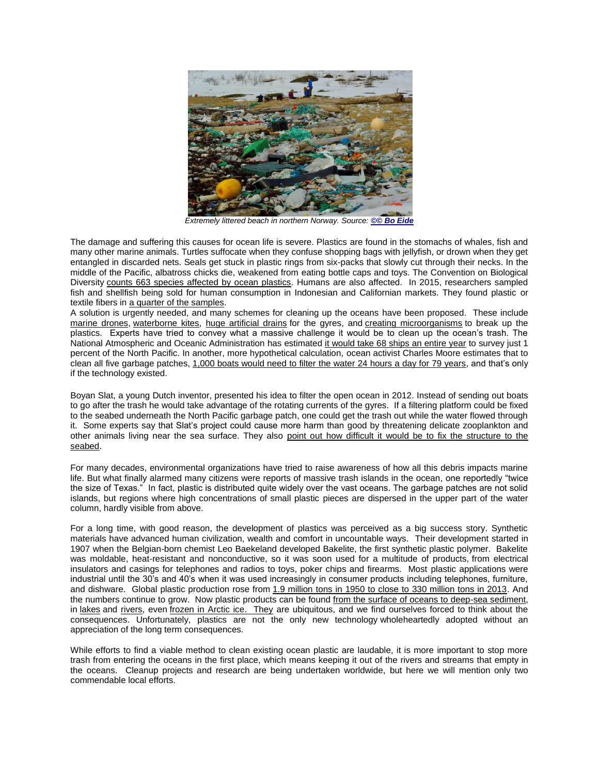

*Extremely littered beach in northern Norway. Source: [©© Bo Eide](http://www.flickr.com/photos/snemann2/5597359461/)*

The damage and suffering this causes for ocean life is severe. Plastics are found in the stomachs of whales, fish and many other marine animals. Turtles suffocate when they confuse shopping bags with jellyfish, or drown when they get entangled in discarded nets. Seals get stuck in plastic rings from six-packs that slowly cut through their necks. In the middle of the Pacific, albatross chicks die, weakened from eating bottle caps and toys. The Convention on Biological Diversity [counts 663 species affected by ocean plastics.](https://www.cbd.int/doc/publications/cbd-ts-67-en.pdf) Humans are also affected. In 2015, researchers sampled fish and shellfish being sold for human consumption in Indonesian and Californian markets. They found plastic or textile fibers in [a quarter of the samples.](http://www.nature.com/articles/srep14340)

A solution is urgently needed, and many schemes for cleaning up the oceans have been proposed. These include [marine drones,](https://www.youtube.com/watch?v=VExyml-HGi0) [waterborne kites,](https://www.youtube.com/watch?v=JBpSHoTXHrg&feature=youtu.be&t=3m22s) [huge artificial drains](http://www.evolo.us/competition/seawer-the-garbage-seascraper) for the gyres, and [creating microorganisms](http://2012.igem.org/Team:University_College_London) to break up the plastics. Experts have tried to convey what a massive challenge it would be to clean up the ocean's trash. The National Atmospheric and Oceanic Administration has estimated [it would take 68 ships an entire year](http://marinedebris.noaa.gov/can-you-clean-pacific-garbage-patch) to survey just 1 percent of the North Pacific. In another, more hypothetical calculation, ocean activist Charles Moore estimates that to clean all five garbage patches, [1,000 boats would need to filter the water 24 hours a day for 79 years,](https://books.google.com/books?id=SLyAg4qJvOQC&lpg=PA1&dq=moore%20plastic&pg=PA1#v=onepage&q=79 years&f=false) and that's only if the technology existed.

Boyan Slat, a young Dutch inventor, presented his idea to filter the open ocean in 2012. Instead of sending out boats to go after the trash he would take advantage of the rotating currents of the gyres. If a filtering platform could be fixed to the seabed underneath the North Pacific garbage patch, one could get the trash out while the water flowed through it. Some experts say that Slat's project could cause more harm than good by threatening delicate zooplankton and other animals living near the sea surface. They also [point out how difficult it would be to fix the structure to the](http://www.deepseanews.com/2014/07/the-ocean-cleanup-part-2-technical-review-of-the-feasibility-study/)  [seabed.](http://www.deepseanews.com/2014/07/the-ocean-cleanup-part-2-technical-review-of-the-feasibility-study/)

For many decades, environmental organizations have tried to raise awareness of how all this debris impacts marine life. But what finally alarmed many citizens were reports of massive trash islands in the ocean, one reportedly "twice the size of Texas." In fact, plastic is distributed quite widely over the vast oceans. The garbage patches are not solid islands, but regions where high concentrations of small plastic pieces are dispersed in the upper part of the water column, hardly visible from above.

For a long time, with good reason, the development of plastics was perceived as a big success story. Synthetic materials have advanced human civilization, wealth and comfort in uncountable ways. Their development started in 1907 when the Belgian-born chemist Leo Baekeland developed Bakelite, the first synthetic plastic polymer. Bakelite was moldable, heat-resistant and nonconductive, so it was soon used for a multitude of products, from electrical insulators and casings for telephones and radios to toys, poker chips and firearms. Most plastic applications were industrial until the 30's and 40's when it was used increasingly in consumer products including telephones, furniture, and dishware. Global plastic production rose from [1.9 million tons in 1950 to close to 330 million tons in 2013.](http://www.plasticseurope.org/documents/document/20131014095824-final_plastics_the_facts_2013_published_october2013.pdf) And the numbers continue to grow. Now plastic products can be found [from the surface of oceans to deep-sea sediment,](http://rsos.royalsocietypublishing.org/content/1/4/140317) in [lakes](http://www.nytimes.com/2013/12/15/us/scientists-turn-their-gaze-toward-tiny-threats-to-great-lakes.html) and [rivers,](http://www.sciencedirect.com/science/article/pii/S0269749114000475) even [frozen in Arctic ice.](http://www.sciencemag.org/news/2014/05/trillions-plastic-pieces-may-be-trapped-arctic-ice) They are ubiquitous, and we find ourselves forced to think about the consequences. Unfortunately, plastics are not the only new technology wholeheartedly adopted without an appreciation of the long term consequences.

While efforts to find a viable method to clean existing ocean plastic are laudable, it is more important to stop more trash from entering the oceans in the first place, which means keeping it out of the rivers and streams that empty in the oceans. Cleanup projects and research are being undertaken worldwide, but here we will mention only two commendable local efforts.